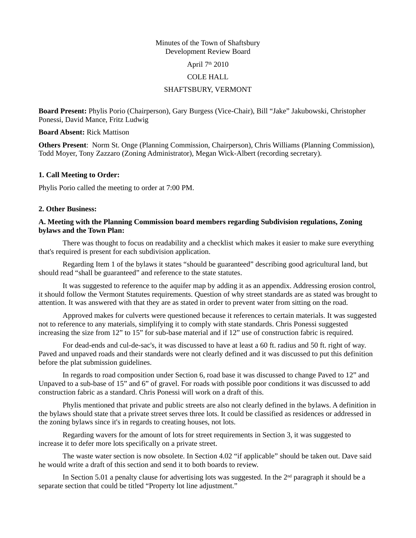#### Minutes of the Town of Shaftsbury Development Review Board

April  $7<sup>th</sup> 2010$ 

### COLE HALL

# SHAFTSBURY, VERMONT

**Board Present:** Phylis Porio (Chairperson), Gary Burgess (Vice-Chair), Bill "Jake" Jakubowski, Christopher Ponessi, David Mance, Fritz Ludwig

### **Board Absent:** Rick Mattison

**Others Present**: Norm St. Onge (Planning Commission, Chairperson), Chris Williams (Planning Commission), Todd Moyer, Tony Zazzaro (Zoning Administrator), Megan Wick-Albert (recording secretary).

## **1. Call Meeting to Order:**

Phylis Porio called the meeting to order at 7:00 PM.

## **2. Other Business:**

# **A. Meeting with the Planning Commission board members regarding Subdivision regulations, Zoning bylaws and the Town Plan:**

There was thought to focus on readability and a checklist which makes it easier to make sure everything that's required is present for each subdivision application.

Regarding Item 1 of the bylaws it states "should be guaranteed" describing good agricultural land, but should read "shall be guaranteed" and reference to the state statutes.

It was suggested to reference to the aquifer map by adding it as an appendix. Addressing erosion control, it should follow the Vermont Statutes requirements. Question of why street standards are as stated was brought to attention. It was answered with that they are as stated in order to prevent water from sitting on the road.

Approved makes for culverts were questioned because it references to certain materials. It was suggested not to reference to any materials, simplifying it to comply with state standards. Chris Ponessi suggested increasing the size from 12" to 15" for sub-base material and if 12" use of construction fabric is required.

For dead-ends and cul-de-sac's, it was discussed to have at least a 60 ft. radius and 50 ft. right of way. Paved and unpaved roads and their standards were not clearly defined and it was discussed to put this definition before the plat submission guidelines.

In regards to road composition under Section 6, road base it was discussed to change Paved to 12" and Unpaved to a sub-base of 15" and 6" of gravel. For roads with possible poor conditions it was discussed to add construction fabric as a standard. Chris Ponessi will work on a draft of this.

Phylis mentioned that private and public streets are also not clearly defined in the bylaws. A definition in the bylaws should state that a private street serves three lots. It could be classified as residences or addressed in the zoning bylaws since it's in regards to creating houses, not lots.

Regarding wavers for the amount of lots for street requirements in Section 3, it was suggested to increase it to defer more lots specifically on a private street.

The waste water section is now obsolete. In Section 4.02 "if applicable" should be taken out. Dave said he would write a draft of this section and send it to both boards to review.

In Section 5.01 a penalty clause for advertising lots was suggested. In the  $2<sup>nd</sup>$  paragraph it should be a separate section that could be titled "Property lot line adjustment."